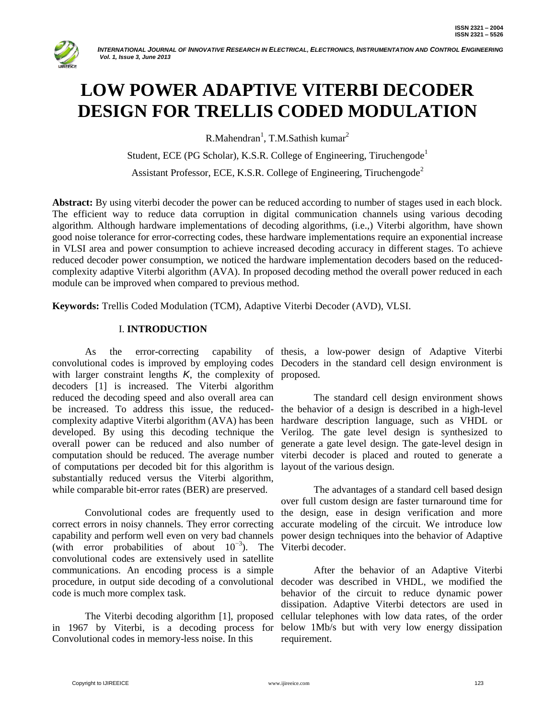

# **LOW POWER ADAPTIVE VITERBI DECODER DESIGN FOR TRELLIS CODED MODULATION**

 $R.Mahendran<sup>1</sup>, T.M.Sathish kumar<sup>2</sup>$ 

Student, ECE (PG Scholar), K.S.R. College of Engineering, Tiruchengode<sup>1</sup>

Assistant Professor, ECE, K.S.R. College of Engineering, Tiruchengode<sup>2</sup>

**Abstract:** By using viterbi decoder the power can be reduced according to number of stages used in each block. The efficient way to reduce data corruption in digital communication channels using various decoding algorithm. Although hardware implementations of decoding algorithms, (i.e.,) Viterbi algorithm, have shown good noise tolerance for error-correcting codes, these hardware implementations require an exponential increase in VLSI area and power consumption to achieve increased decoding accuracy in different stages. To achieve reduced decoder power consumption, we noticed the hardware implementation decoders based on the reducedcomplexity adaptive Viterbi algorithm (AVA). In proposed decoding method the overall power reduced in each module can be improved when compared to previous method.

**Keywords:** Trellis Coded Modulation (TCM), Adaptive Viterbi Decoder (AVD), VLSI.

## I. **INTRODUCTION**

As the error-correcting capability convolutional codes is improved by employing codes Decoders in the standard cell design environment is with larger constraint lengths *K*, the complexity of proposed. decoders [1] is increased. The Viterbi algorithm reduced the decoding speed and also overall area can be increased. To address this issue, the reduced-the behavior of a design is described in a high-level complexity adaptive Viterbi algorithm (AVA) has been hardware description language, such as VHDL or developed. By using this decoding technique the overall power can be reduced and also number of computation should be reduced. The average number viterbi decoder is placed and routed to generate a of computations per decoded bit for this algorithm is layout of the various design. substantially reduced versus the Viterbi algorithm, while comparable bit-error rates (BER) are preserved.

Convolutional codes are frequently used to correct errors in noisy channels. They error correcting capability and perform well even on very bad channels (with error probabilities of about 10−3 ). The convolutional codes are extensively used in satellite communications. An encoding process is a simple procedure, in output side decoding of a convolutional decoder was described in VHDL, we modified the code is much more complex task.

The Viterbi decoding algorithm [1], proposed in 1967 by Viterbi, is a decoding process for Convolutional codes in memory-less noise. In this

of thesis, a low-power design of Adaptive Viterbi

The standard cell design environment shows Verilog. The gate level design is synthesized to generate a gate level design. The gate-level design in

The advantages of a standard cell based design over full custom design are faster turnaround time for the design, ease in design verification and more accurate modeling of the circuit. We introduce low power design techniques into the behavior of Adaptive Viterbi decoder.

After the behavior of an Adaptive Viterbi behavior of the circuit to reduce dynamic power dissipation. Adaptive Viterbi detectors are used in cellular telephones with low data rates, of the order below 1Mb/s but with very low energy dissipation requirement.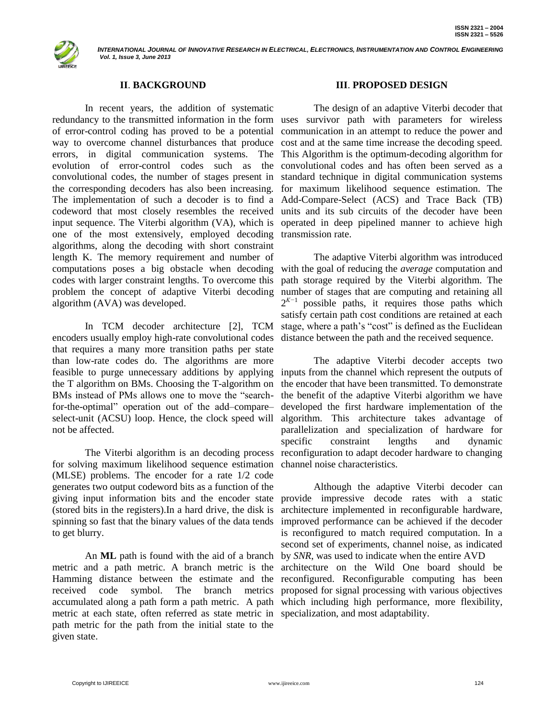

# **II**. **BACKGROUND**

In recent years, the addition of systematic redundancy to the transmitted information in the form uses survivor path with parameters for wireless of error-control coding has proved to be a potential communication in an attempt to reduce the power and way to overcome channel disturbances that produce errors, in digital communication systems. The evolution of error-control codes such as the convolutional codes and has often been served as a convolutional codes, the number of stages present in the corresponding decoders has also been increasing. The implementation of such a decoder is to find a Add-Compare-Select (ACS) and Trace Back (TB) codeword that most closely resembles the received units and its sub circuits of the decoder have been input sequence. The Viterbi algorithm (VA), which is one of the most extensively, employed decoding transmission rate. algorithms, along the decoding with short constraint length K. The memory requirement and number of computations poses a big obstacle when decoding codes with larger constraint lengths. To overcome this problem the concept of adaptive Viterbi decoding algorithm (AVA) was developed.

In TCM decoder architecture [2], TCM encoders usually employ high-rate convolutional codes that requires a many more transition paths per state than low-rate codes do. The algorithms are more feasible to purge unnecessary additions by applying inputs from the channel which represent the outputs of the T algorithm on BMs. Choosing the T-algorithm on BMs instead of PMs allows one to move the "searchfor-the-optimal" operation out of the add–compare– select-unit (ACSU) loop. Hence, the clock speed will not be affected.

for solving maximum likelihood sequence estimation (MLSE) problems. The encoder for a rate 1/2 code generates two output codeword bits as a function of the giving input information bits and the encoder state (stored bits in the registers).In a hard drive, the disk is to get blurry.

metric and a path metric. A branch metric is the Hamming distance between the estimate and the reconfigured. Reconfigurable computing has been received code symbol. The branch metrics proposed for signal processing with various objectives accumulated along a path form a path metric. A path which including high performance, more flexibility, metric at each state, often referred as state metric in specialization, and most adaptability.path metric for the path from the initial state to the given state.

#### **III**. **PROPOSED DESIGN**

The design of an adaptive Viterbi decoder that cost and at the same time increase the decoding speed. This Algorithm is the optimum-decoding algorithm for standard technique in digital communication systems for maximum likelihood sequence estimation. The operated in deep pipelined manner to achieve high

The adaptive Viterbi algorithm was introduced with the goal of reducing the *average* computation and path storage required by the Viterbi algorithm. The number of stages that are computing and retaining all  $2^{K-1}$  possible paths, it requires those paths which satisfy certain path cost conditions are retained at each stage, where a path"s "cost" is defined as the Euclidean distance between the path and the received sequence.

The Viterbi algorithm is an decoding process reconfiguration to adapt decoder hardware to changing The adaptive Viterbi decoder accepts two the encoder that have been transmitted. To demonstrate the benefit of the adaptive Viterbi algorithm we have developed the first hardware implementation of the algorithm. This architecture takes advantage of parallelization and specialization of hardware for specific constraint lengths and dynamic channel noise characteristics.

spinning so fast that the binary values of the data tends improved performance can be achieved if the decoder An **ML** path is found with the aid of a branch by *SNR*, was used to indicate when the entire AVD Although the adaptive Viterbi decoder can provide impressive decode rates with a static architecture implemented in reconfigurable hardware, is reconfigured to match required computation. In a second set of experiments, channel noise, as indicated architecture on the Wild One board should be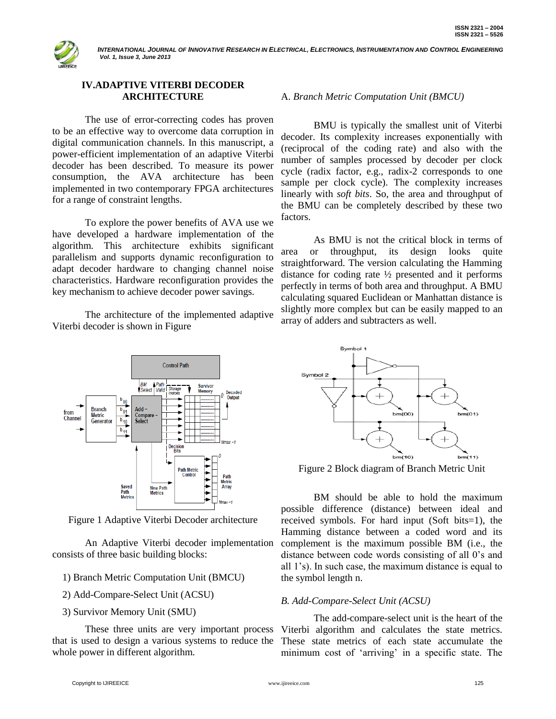

# **IV.ADAPTIVE VITERBI DECODER ARCHITECTURE**

The use of error-correcting codes has proven to be an effective way to overcome data corruption in digital communication channels. In this manuscript, a power-efficient implementation of an adaptive Viterbi decoder has been described. To measure its power consumption, the AVA architecture has been implemented in two contemporary FPGA architectures for a range of constraint lengths.

To explore the power benefits of AVA use we have developed a hardware implementation of the algorithm. This architecture exhibits significant parallelism and supports dynamic reconfiguration to adapt decoder hardware to changing channel noise characteristics. Hardware reconfiguration provides the key mechanism to achieve decoder power savings.

The architecture of the implemented adaptive Viterbi decoder is shown in Figure



Figure 1 Adaptive Viterbi Decoder architecture

An Adaptive Viterbi decoder implementation consists of three basic building blocks:

- 1) Branch Metric Computation Unit (BMCU)
- 2) Add-Compare-Select Unit (ACSU)
- 3) Survivor Memory Unit (SMU)

whole power in different algorithm.

# A. *Branch Metric Computation Unit (BMCU)*

BMU is typically the smallest unit of Viterbi decoder. Its complexity increases exponentially with (reciprocal of the coding rate) and also with the number of samples processed by decoder per clock cycle (radix factor, e.g., radix-2 corresponds to one sample per clock cycle). The complexity increases linearly with *soft bits*. So, the area and throughput of the BMU can be completely described by these two factors.

As BMU is not the critical block in terms of area or throughput, its design looks quite straightforward. The version calculating the Hamming distance for coding rate ½ presented and it performs perfectly in terms of both area and throughput. A BMU calculating squared Euclidean or Manhattan distance is slightly more complex but can be easily mapped to an array of adders and subtracters as well.



Figure 2 Block diagram of Branch Metric Unit

BM should be able to hold the maximum possible difference (distance) between ideal and received symbols. For hard input (Soft bits=1), the Hamming distance between a coded word and its complement is the maximum possible BM (i.e., the distance between code words consisting of all 0"s and all 1"s). In such case, the maximum distance is equal to the symbol length n.

## *B. Add-Compare-Select Unit (ACSU)*

These three units are very important process Viterbi algorithm and calculates the state metrics. that is used to design a various systems to reduce the These state metrics of each state accumulate the The add-compare-select unit is the heart of the minimum cost of 'arriving' in a specific state. The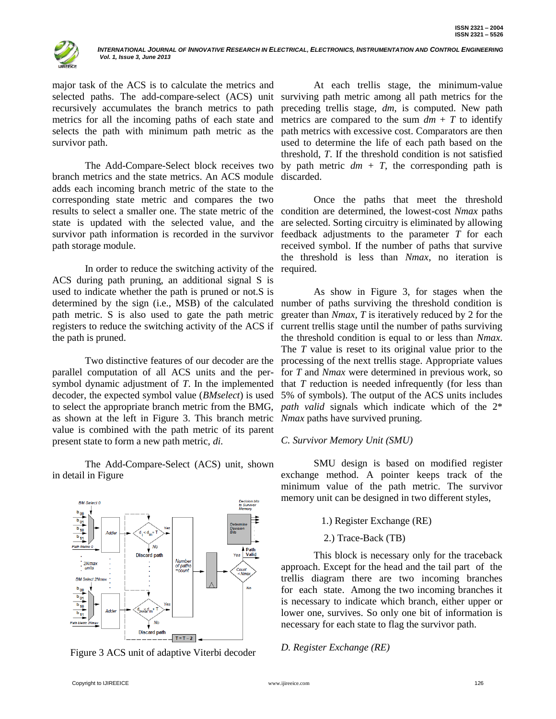

major task of the ACS is to calculate the metrics and selected paths. The add-compare-select (ACS) unit surviving path metric among all path metrics for the recursively accumulates the branch metrics to path metrics for all the incoming paths of each state and selects the path with minimum path metric as the survivor path.

The Add-Compare-Select block receives two branch metrics and the state metrics. An ACS module adds each incoming branch metric of the state to the corresponding state metric and compares the two results to select a smaller one. The state metric of the state is updated with the selected value, and the survivor path information is recorded in the survivor path storage module.

In order to reduce the switching activity of the ACS during path pruning, an additional signal S is used to indicate whether the path is pruned or not.S is determined by the sign (i.e., MSB) of the calculated path metric. S is also used to gate the path metric registers to reduce the switching activity of the ACS if the path is pruned.

Two distinctive features of our decoder are the parallel computation of all ACS units and the persymbol dynamic adjustment of *T*. In the implemented that *T* reduction is needed infrequently (for less than decoder, the expected symbol value (*BMselect*) is used 5% of symbols). The output of the ACS units includes to select the appropriate branch metric from the BMG, *path valid* signals which indicate which of the 2\* as shown at the left in Figure 3. This branch metric *Nmax* paths have survived pruning. value is combined with the path metric of its parent present state to form a new path metric, *di.*

The Add-Compare-Select (ACS) unit, shown in detail in Figure



Figure 3 ACS unit of adaptive Viterbi decoder

At each trellis stage, the minimum-value preceding trellis stage, *dm*, is computed. New path metrics are compared to the sum  $dm + T$  to identify path metrics with excessive cost. Comparators are then used to determine the life of each path based on the threshold, *T*. If the threshold condition is not satisfied by path metric  $dm + T$ , the corresponding path is discarded.

Once the paths that meet the threshold condition are determined, the lowest-cost *Nmax* paths are selected. Sorting circuitry is eliminated by allowing feedback adjustments to the parameter *T* for each received symbol. If the number of paths that survive the threshold is less than *Nmax*, no iteration is required.

As show in Figure 3, for stages when the number of paths surviving the threshold condition is greater than *Nmax*, *T* is iteratively reduced by 2 for the current trellis stage until the number of paths surviving the threshold condition is equal to or less than *Nmax*. The *T* value is reset to its original value prior to the processing of the next trellis stage. Appropriate values for *T* and *Nmax* were determined in previous work, so

#### *C. Survivor Memory Unit (SMU)*

SMU design is based on modified register exchange method. A pointer keeps track of the minimum value of the path metric. The survivor memory unit can be designed in two different styles,

- 1.) Register Exchange (RE)
- 2.) Trace-Back (TB)

This block is necessary only for the traceback approach. Except for the head and the tail part of the trellis diagram there are two incoming branches for each state. Among the two incoming branches it is necessary to indicate which branch, either upper or lower one, survives. So only one bit of information is necessary for each state to flag the survivor path.

## *D. Register Exchange (RE)*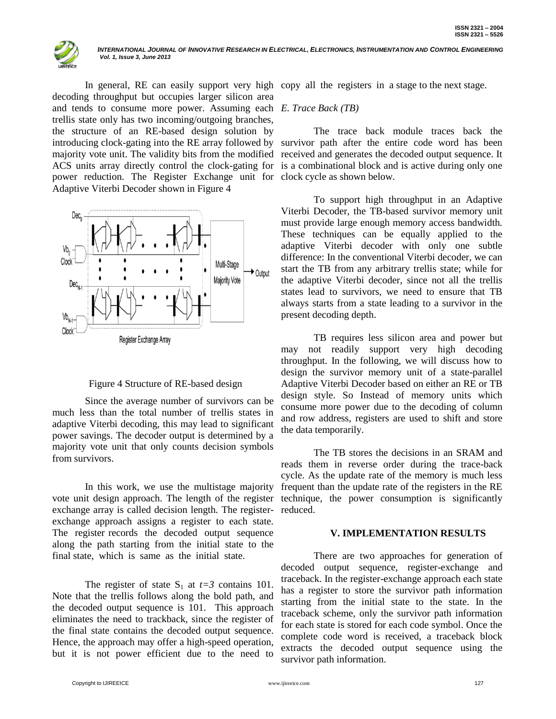

decoding throughput but occupies larger silicon area and tends to consume more power. Assuming each *E. Trace Back (TB)* trellis state only has two incoming/outgoing branches, the structure of an RE-based design solution by power reduction. The Register Exchange unit for clock cycle as shown below. Adaptive Viterbi Decoder shown in Figure 4





Since the average number of survivors can be much less than the total number of trellis states in adaptive Viterbi decoding, this may lead to significant power savings. The decoder output is determined by a majority vote unit that only counts decision symbols from survivors.

In this work, we use the multistage majority vote unit design approach. The length of the register technique, the power consumption is significantly exchange array is called decision length. The register-reduced. exchange approach assigns a register to each state. The register records the decoded output sequence along the path starting from the initial state to the final state, which is same as the initial state.

The register of state  $S_1$  at  $t=3$  contains 101. Note that the trellis follows along the bold path, and the decoded output sequence is 101. This approach eliminates the need to trackback, since the register of the final state contains the decoded output sequence. Hence, the approach may offer a high-speed operation, but it is not power efficient due to the need to

In general, RE can easily support very high copy all the registers in a stage to the next stage.

introducing clock-gating into the RE array followed by survivor path after the entire code word has been majority vote unit. The validity bits from the modified received and generates the decoded output sequence. It ACS units array directly control the clock-gating for is a combinational block and is active during only one The trace back module traces back the

> To support high throughput in an Adaptive Viterbi Decoder, the TB-based survivor memory unit must provide large enough memory access bandwidth. These techniques can be equally applied to the adaptive Viterbi decoder with only one subtle difference: In the conventional Viterbi decoder, we can start the TB from any arbitrary trellis state; while for the adaptive Viterbi decoder, since not all the trellis states lead to survivors, we need to ensure that TB always starts from a state leading to a survivor in the present decoding depth.

> TB requires less silicon area and power but may not readily support very high decoding throughput. In the following, we will discuss how to design the survivor memory unit of a state-parallel Adaptive Viterbi Decoder based on either an RE or TB design style. So Instead of memory units which consume more power due to the decoding of column and row address, registers are used to shift and store the data temporarily.

> The TB stores the decisions in an SRAM and reads them in reverse order during the trace-back cycle. As the update rate of the memory is much less frequent than the update rate of the registers in the RE

## **V. IMPLEMENTATION RESULTS**

There are two approaches for generation of decoded output sequence, register-exchange and traceback. In the register-exchange approach each state has a register to store the survivor path information starting from the initial state to the state. In the traceback scheme, only the survivor path information for each state is stored for each code symbol. Once the complete code word is received, a traceback block extracts the decoded output sequence using the survivor path information.